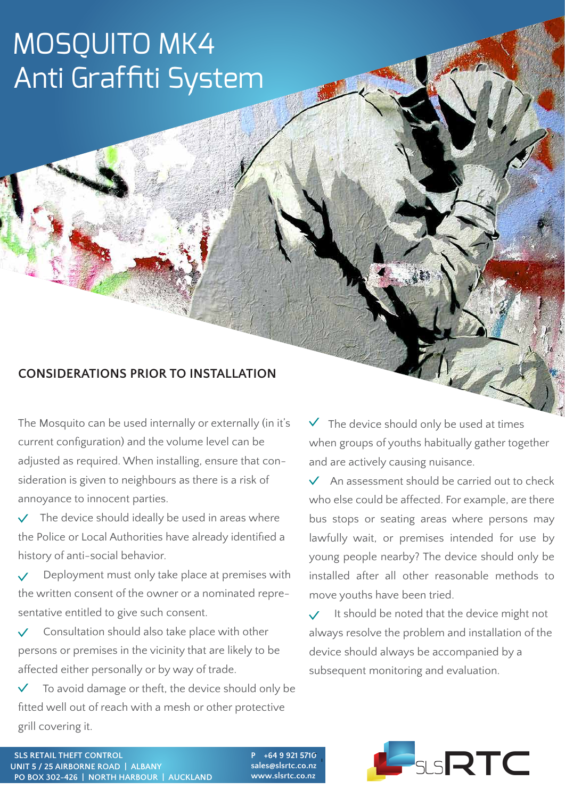## MOSQUITO MK4 Anti Graffiti System

## **CONSIDERATIONS PRIOR TO INSTALLATION**

The Mosquito can be used internally or externally (in it's current configuration) and the volume level can be adjusted as required. When installing, ensure that consideration is given to neighbours as there is a risk of annoyance to innocent parties.

 The device should ideally be used in areas where the Police or Local Authorities have already identified a history of anti-social behavior.

 Deployment must only take place at premises with the written consent of the owner or a nominated representative entitled to give such consent.

 $\vee$  Consultation should also take place with other persons or premises in the vicinity that are likely to be affected either personally or by way of trade.

 To avoid damage or theft, the device should only be fitted well out of reach with a mesh or other protective grill covering it.

 $\checkmark$  The device should only be used at times when groups of youths habitually gather together and are actively causing nuisance.

**SECURITY** 

 $\vee$  An assessment should be carried out to check who else could be affected. For example, are there bus stops or seating areas where persons may lawfully wait, or premises intended for use by young people nearby? The device should only be installed after all other reasonable methods to move youths have been tried.

 It should be noted that the device might not always resolve the problem and installation of the device should always be accompanied by a subsequent monitoring and evaluation.



**P +64 9 921 5710 sales@slsrtc.co.nz**